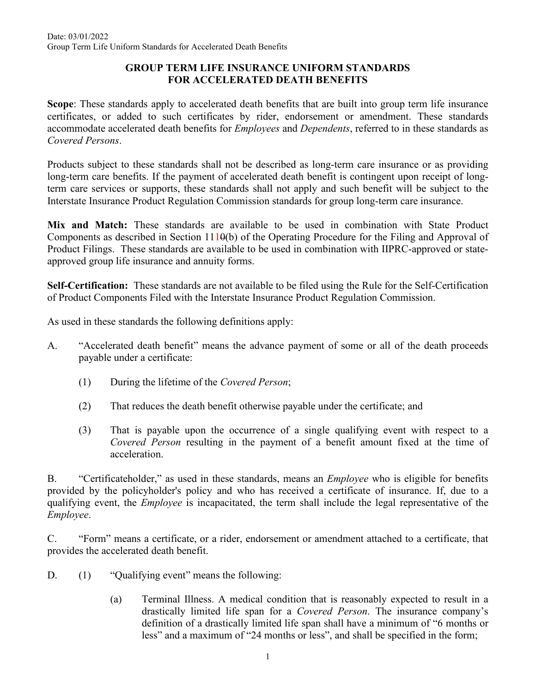#### **GROUP TERM LIFE INSURANCE UNIFORM STANDARDS FOR ACCELERATED DEATH BENEFITS**

**Scope**: These standards apply to accelerated death benefits that are built into group term life insurance certificates, or added to such certificates by rider, endorsement or amendment. These standards accommodate accelerated death benefits for *Employees* and *Dependents*, referred to in these standards as *Covered Persons*.

Products subject to these standards shall not be described as long-term care insurance or as providing long-term care benefits. If the payment of accelerated death benefit is contingent upon receipt of longterm care services or supports, these standards shall not apply and such benefit will be subject to the Interstate Insurance Product Regulation Commission standards for group long-term care insurance.

**Mix and Match:** These standards are available to be used in combination with State Product Components as described in Section 1110(b) of the Operating Procedure for the Filing and Approval of Product Filings. These standards are available to be used in combination with IIPRC-approved or stateapproved group life insurance and annuity forms.

**Self-Certification:** These standards are not available to be filed using the Rule for the Self-Certification of Product Components Filed with the Interstate Insurance Product Regulation Commission.

As used in these standards the following definitions apply:

- A. "Accelerated death benefit" means the advance payment of some or all of the death proceeds payable under a certificate:
	- (1) During the lifetime of the *Covered Person*;
	- (2) That reduces the death benefit otherwise payable under the certificate; and
	- (3) That is payable upon the occurrence of a single qualifying event with respect to a *Covered Person* resulting in the payment of a benefit amount fixed at the time of acceleration.

B. "Certificateholder," as used in these standards, means an *Employee* who is eligible for benefits provided by the policyholder's policy and who has received a certificate of insurance. If, due to a qualifying event, the *Employee* is incapacitated, the term shall include the legal representative of the *Employee*.

C. "Form" means a certificate, or a rider, endorsement or amendment attached to a certificate, that provides the accelerated death benefit.

- D. (1) "Qualifying event" means the following:
	- (a) Terminal Illness. A medical condition that is reasonably expected to result in a drastically limited life span for a *Covered Person*. The insurance company's definition of a drastically limited life span shall have a minimum of "6 months or less" and a maximum of "24 months or less", and shall be specified in the form;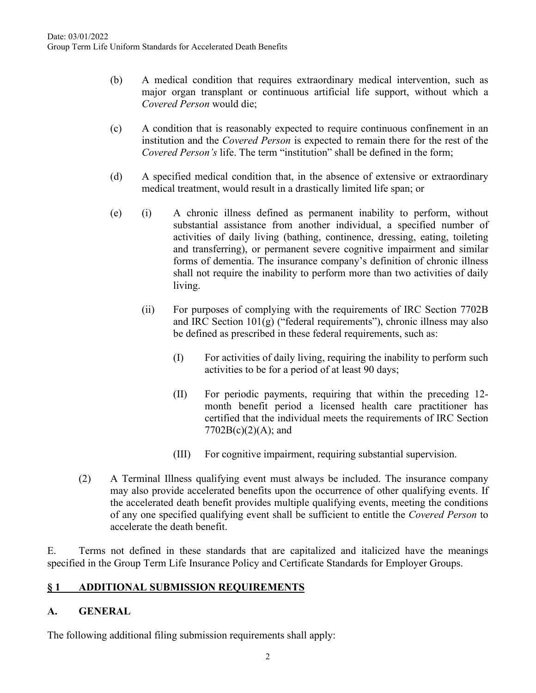- (b) A medical condition that requires extraordinary medical intervention, such as major organ transplant or continuous artificial life support, without which a *Covered Person* would die;
- (c) A condition that is reasonably expected to require continuous confinement in an institution and the *Covered Person* is expected to remain there for the rest of the *Covered Person's* life. The term "institution" shall be defined in the form;
- (d) A specified medical condition that, in the absence of extensive or extraordinary medical treatment, would result in a drastically limited life span; or
- (e) (i) A chronic illness defined as permanent inability to perform, without substantial assistance from another individual, a specified number of activities of daily living (bathing, continence, dressing, eating, toileting and transferring), or permanent severe cognitive impairment and similar forms of dementia. The insurance company's definition of chronic illness shall not require the inability to perform more than two activities of daily living.
	- (ii) For purposes of complying with the requirements of IRC Section 7702B and IRC Section  $101(g)$  ("federal requirements"), chronic illness may also be defined as prescribed in these federal requirements, such as:
		- (I) For activities of daily living, requiring the inability to perform such activities to be for a period of at least 90 days;
		- (II) For periodic payments, requiring that within the preceding 12 month benefit period a licensed health care practitioner has certified that the individual meets the requirements of IRC Section  $7702B(c)(2)(A);$  and
		- (III) For cognitive impairment, requiring substantial supervision.
- (2) A Terminal Illness qualifying event must always be included. The insurance company may also provide accelerated benefits upon the occurrence of other qualifying events. If the accelerated death benefit provides multiple qualifying events, meeting the conditions of any one specified qualifying event shall be sufficient to entitle the *Covered Person* to accelerate the death benefit.

E. Terms not defined in these standards that are capitalized and italicized have the meanings specified in the Group Term Life Insurance Policy and Certificate Standards for Employer Groups.

# **§ 1 ADDITIONAL SUBMISSION REQUIREMENTS**

## **A. GENERAL**

The following additional filing submission requirements shall apply: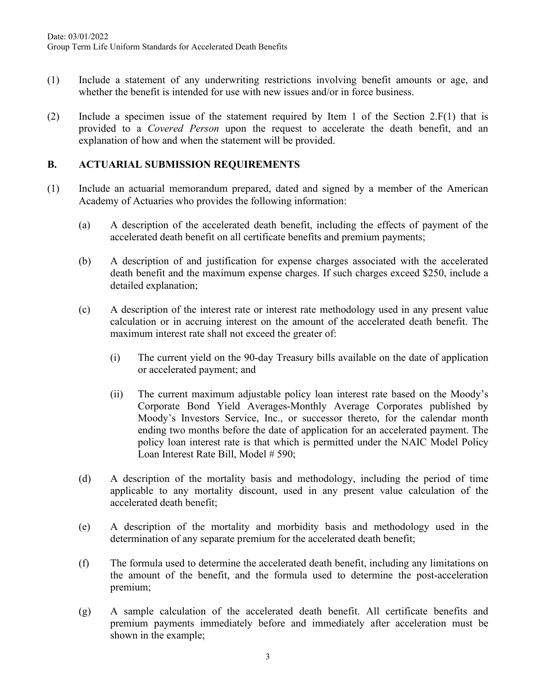- (1) Include a statement of any underwriting restrictions involving benefit amounts or age, and whether the benefit is intended for use with new issues and/or in force business.
- (2) Include a specimen issue of the statement required by Item 1 of the Section 2.F(1) that is provided to a *Covered Person* upon the request to accelerate the death benefit, and an explanation of how and when the statement will be provided.

#### **B. ACTUARIAL SUBMISSION REQUIREMENTS**

- (1) Include an actuarial memorandum prepared, dated and signed by a member of the American Academy of Actuaries who provides the following information:
	- (a) A description of the accelerated death benefit, including the effects of payment of the accelerated death benefit on all certificate benefits and premium payments;
	- (b) A description of and justification for expense charges associated with the accelerated death benefit and the maximum expense charges. If such charges exceed \$250, include a detailed explanation;
	- (c) A description of the interest rate or interest rate methodology used in any present value calculation or in accruing interest on the amount of the accelerated death benefit. The maximum interest rate shall not exceed the greater of:
		- (i) The current yield on the 90-day Treasury bills available on the date of application or accelerated payment; and
		- (ii) The current maximum adjustable policy loan interest rate based on the Moody's Corporate Bond Yield Averages-Monthly Average Corporates published by Moody's Investors Service, Inc., or successor thereto, for the calendar month ending two months before the date of application for an accelerated payment. The policy loan interest rate is that which is permitted under the NAIC Model Policy Loan Interest Rate Bill, Model # 590;
	- (d) A description of the mortality basis and methodology, including the period of time applicable to any mortality discount, used in any present value calculation of the accelerated death benefit;
	- (e) A description of the mortality and morbidity basis and methodology used in the determination of any separate premium for the accelerated death benefit;
	- (f) The formula used to determine the accelerated death benefit, including any limitations on the amount of the benefit, and the formula used to determine the post-acceleration premium;
	- (g) A sample calculation of the accelerated death benefit. All certificate benefits and premium payments immediately before and immediately after acceleration must be shown in the example;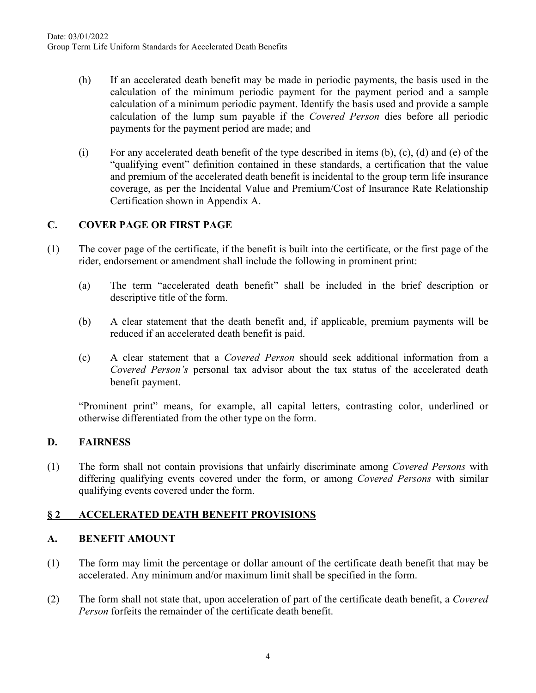- (h) If an accelerated death benefit may be made in periodic payments, the basis used in the calculation of the minimum periodic payment for the payment period and a sample calculation of a minimum periodic payment. Identify the basis used and provide a sample calculation of the lump sum payable if the *Covered Person* dies before all periodic payments for the payment period are made; and
- (i) For any accelerated death benefit of the type described in items (b), (c), (d) and (e) of the "qualifying event" definition contained in these standards, a certification that the value and premium of the accelerated death benefit is incidental to the group term life insurance coverage, as per the Incidental Value and Premium/Cost of Insurance Rate Relationship Certification shown in Appendix A.

## **C. COVER PAGE OR FIRST PAGE**

- (1) The cover page of the certificate, if the benefit is built into the certificate, or the first page of the rider, endorsement or amendment shall include the following in prominent print:
	- (a) The term "accelerated death benefit" shall be included in the brief description or descriptive title of the form.
	- (b) A clear statement that the death benefit and, if applicable, premium payments will be reduced if an accelerated death benefit is paid.
	- (c) A clear statement that a *Covered Person* should seek additional information from a *Covered Person's* personal tax advisor about the tax status of the accelerated death benefit payment.

"Prominent print" means, for example, all capital letters, contrasting color, underlined or otherwise differentiated from the other type on the form.

#### **D. FAIRNESS**

(1) The form shall not contain provisions that unfairly discriminate among *Covered Persons* with differing qualifying events covered under the form, or among *Covered Persons* with similar qualifying events covered under the form.

#### **§ 2 ACCELERATED DEATH BENEFIT PROVISIONS**

#### **A. BENEFIT AMOUNT**

- (1) The form may limit the percentage or dollar amount of the certificate death benefit that may be accelerated. Any minimum and/or maximum limit shall be specified in the form.
- (2) The form shall not state that, upon acceleration of part of the certificate death benefit, a *Covered Person* forfeits the remainder of the certificate death benefit.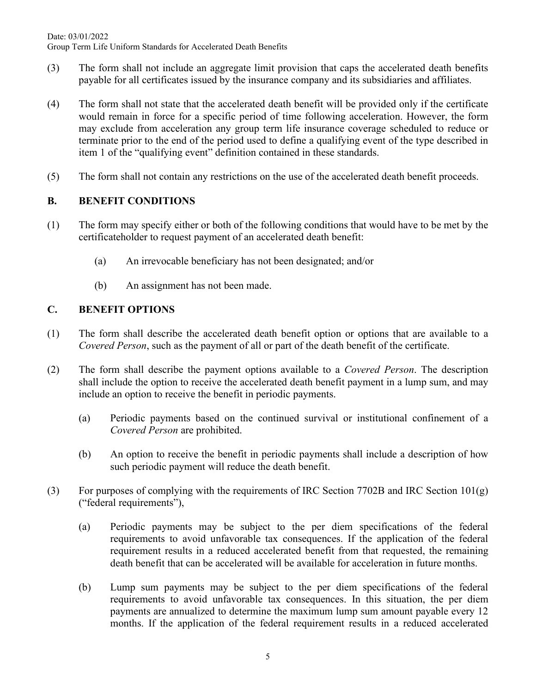Date: 03/01/2022 Group Term Life Uniform Standards for Accelerated Death Benefits

- (3) The form shall not include an aggregate limit provision that caps the accelerated death benefits payable for all certificates issued by the insurance company and its subsidiaries and affiliates.
- (4) The form shall not state that the accelerated death benefit will be provided only if the certificate would remain in force for a specific period of time following acceleration. However, the form may exclude from acceleration any group term life insurance coverage scheduled to reduce or terminate prior to the end of the period used to define a qualifying event of the type described in item 1 of the "qualifying event" definition contained in these standards.
- (5) The form shall not contain any restrictions on the use of the accelerated death benefit proceeds.

## **B. BENEFIT CONDITIONS**

- (1) The form may specify either or both of the following conditions that would have to be met by the certificateholder to request payment of an accelerated death benefit:
	- (a) An irrevocable beneficiary has not been designated; and/or
	- (b) An assignment has not been made.

#### **C. BENEFIT OPTIONS**

- (1) The form shall describe the accelerated death benefit option or options that are available to a *Covered Person*, such as the payment of all or part of the death benefit of the certificate.
- (2) The form shall describe the payment options available to a *Covered Person*. The description shall include the option to receive the accelerated death benefit payment in a lump sum, and may include an option to receive the benefit in periodic payments.
	- (a) Periodic payments based on the continued survival or institutional confinement of a *Covered Person* are prohibited.
	- (b) An option to receive the benefit in periodic payments shall include a description of how such periodic payment will reduce the death benefit.
- (3) For purposes of complying with the requirements of IRC Section 7702B and IRC Section  $101(g)$ ("federal requirements"),
	- (a) Periodic payments may be subject to the per diem specifications of the federal requirements to avoid unfavorable tax consequences. If the application of the federal requirement results in a reduced accelerated benefit from that requested, the remaining death benefit that can be accelerated will be available for acceleration in future months.
	- (b) Lump sum payments may be subject to the per diem specifications of the federal requirements to avoid unfavorable tax consequences. In this situation, the per diem payments are annualized to determine the maximum lump sum amount payable every 12 months. If the application of the federal requirement results in a reduced accelerated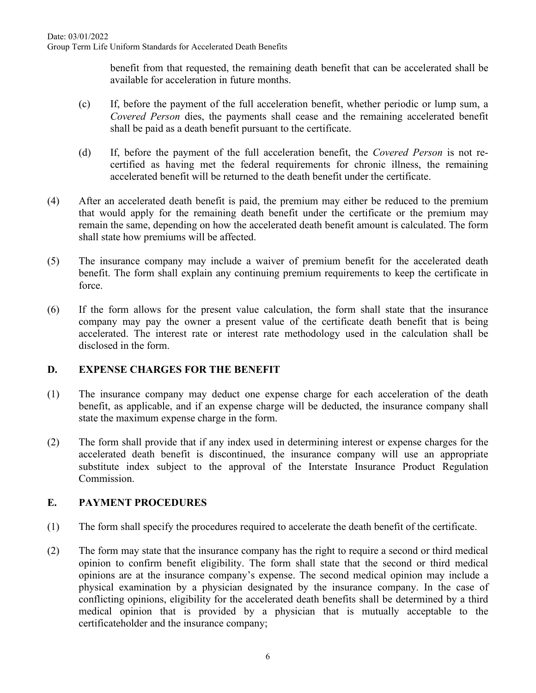benefit from that requested, the remaining death benefit that can be accelerated shall be available for acceleration in future months.

- (c) If, before the payment of the full acceleration benefit, whether periodic or lump sum, a *Covered Person* dies, the payments shall cease and the remaining accelerated benefit shall be paid as a death benefit pursuant to the certificate.
- (d) If, before the payment of the full acceleration benefit, the *Covered Person* is not recertified as having met the federal requirements for chronic illness, the remaining accelerated benefit will be returned to the death benefit under the certificate.
- (4) After an accelerated death benefit is paid, the premium may either be reduced to the premium that would apply for the remaining death benefit under the certificate or the premium may remain the same, depending on how the accelerated death benefit amount is calculated. The form shall state how premiums will be affected.
- (5) The insurance company may include a waiver of premium benefit for the accelerated death benefit. The form shall explain any continuing premium requirements to keep the certificate in force.
- (6) If the form allows for the present value calculation, the form shall state that the insurance company may pay the owner a present value of the certificate death benefit that is being accelerated. The interest rate or interest rate methodology used in the calculation shall be disclosed in the form.

## **D. EXPENSE CHARGES FOR THE BENEFIT**

- (1) The insurance company may deduct one expense charge for each acceleration of the death benefit, as applicable, and if an expense charge will be deducted, the insurance company shall state the maximum expense charge in the form.
- (2) The form shall provide that if any index used in determining interest or expense charges for the accelerated death benefit is discontinued, the insurance company will use an appropriate substitute index subject to the approval of the Interstate Insurance Product Regulation Commission.

## **E. PAYMENT PROCEDURES**

- (1) The form shall specify the procedures required to accelerate the death benefit of the certificate.
- (2) The form may state that the insurance company has the right to require a second or third medical opinion to confirm benefit eligibility. The form shall state that the second or third medical opinions are at the insurance company's expense. The second medical opinion may include a physical examination by a physician designated by the insurance company. In the case of conflicting opinions, eligibility for the accelerated death benefits shall be determined by a third medical opinion that is provided by a physician that is mutually acceptable to the certificateholder and the insurance company;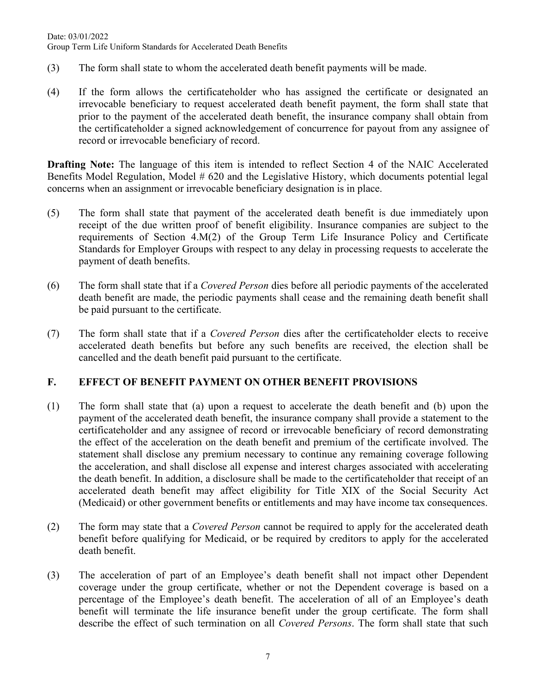#### Date: 03/01/2022 Group Term Life Uniform Standards for Accelerated Death Benefits

- (3) The form shall state to whom the accelerated death benefit payments will be made.
- (4) If the form allows the certificateholder who has assigned the certificate or designated an irrevocable beneficiary to request accelerated death benefit payment, the form shall state that prior to the payment of the accelerated death benefit, the insurance company shall obtain from the certificateholder a signed acknowledgement of concurrence for payout from any assignee of record or irrevocable beneficiary of record.

**Drafting Note:** The language of this item is intended to reflect Section 4 of the NAIC Accelerated Benefits Model Regulation, Model # 620 and the Legislative History, which documents potential legal concerns when an assignment or irrevocable beneficiary designation is in place.

- (5) The form shall state that payment of the accelerated death benefit is due immediately upon receipt of the due written proof of benefit eligibility. Insurance companies are subject to the requirements of Section 4.M(2) of the Group Term Life Insurance Policy and Certificate Standards for Employer Groups with respect to any delay in processing requests to accelerate the payment of death benefits.
- (6) The form shall state that if a *Covered Person* dies before all periodic payments of the accelerated death benefit are made, the periodic payments shall cease and the remaining death benefit shall be paid pursuant to the certificate.
- (7) The form shall state that if a *Covered Person* dies after the certificateholder elects to receive accelerated death benefits but before any such benefits are received, the election shall be cancelled and the death benefit paid pursuant to the certificate.

#### **F. EFFECT OF BENEFIT PAYMENT ON OTHER BENEFIT PROVISIONS**

- (1) The form shall state that (a) upon a request to accelerate the death benefit and (b) upon the payment of the accelerated death benefit, the insurance company shall provide a statement to the certificateholder and any assignee of record or irrevocable beneficiary of record demonstrating the effect of the acceleration on the death benefit and premium of the certificate involved. The statement shall disclose any premium necessary to continue any remaining coverage following the acceleration, and shall disclose all expense and interest charges associated with accelerating the death benefit. In addition, a disclosure shall be made to the certificateholder that receipt of an accelerated death benefit may affect eligibility for Title XIX of the Social Security Act (Medicaid) or other government benefits or entitlements and may have income tax consequences.
- (2) The form may state that a *Covered Person* cannot be required to apply for the accelerated death benefit before qualifying for Medicaid, or be required by creditors to apply for the accelerated death benefit.
- (3) The acceleration of part of an Employee's death benefit shall not impact other Dependent coverage under the group certificate, whether or not the Dependent coverage is based on a percentage of the Employee's death benefit. The acceleration of all of an Employee's death benefit will terminate the life insurance benefit under the group certificate. The form shall describe the effect of such termination on all *Covered Persons*. The form shall state that such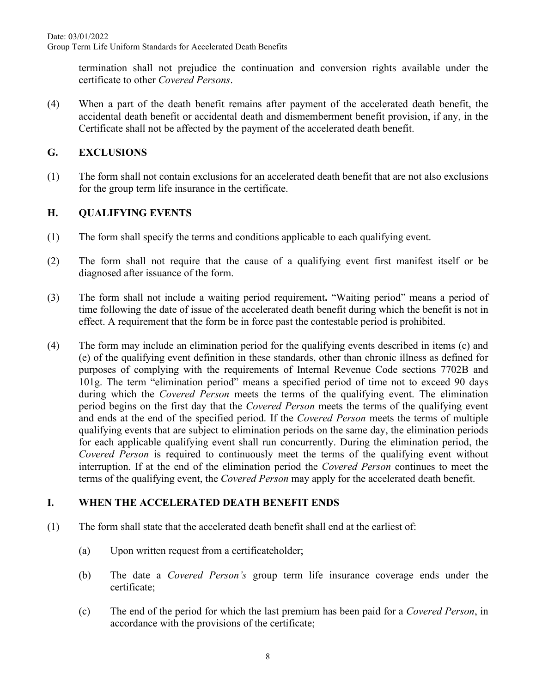termination shall not prejudice the continuation and conversion rights available under the certificate to other *Covered Persons*.

(4) When a part of the death benefit remains after payment of the accelerated death benefit, the accidental death benefit or accidental death and dismemberment benefit provision, if any, in the Certificate shall not be affected by the payment of the accelerated death benefit.

## **G. EXCLUSIONS**

(1) The form shall not contain exclusions for an accelerated death benefit that are not also exclusions for the group term life insurance in the certificate.

## **H. QUALIFYING EVENTS**

- (1) The form shall specify the terms and conditions applicable to each qualifying event.
- (2) The form shall not require that the cause of a qualifying event first manifest itself or be diagnosed after issuance of the form.
- (3) The form shall not include a waiting period requirement**.** "Waiting period" means a period of time following the date of issue of the accelerated death benefit during which the benefit is not in effect. A requirement that the form be in force past the contestable period is prohibited.
- (4) The form may include an elimination period for the qualifying events described in items (c) and (e) of the qualifying event definition in these standards, other than chronic illness as defined for purposes of complying with the requirements of Internal Revenue Code sections 7702B and 101g. The term "elimination period" means a specified period of time not to exceed 90 days during which the *Covered Person* meets the terms of the qualifying event. The elimination period begins on the first day that the *Covered Person* meets the terms of the qualifying event and ends at the end of the specified period. If the *Covered Person* meets the terms of multiple qualifying events that are subject to elimination periods on the same day, the elimination periods for each applicable qualifying event shall run concurrently. During the elimination period, the *Covered Person* is required to continuously meet the terms of the qualifying event without interruption. If at the end of the elimination period the *Covered Person* continues to meet the terms of the qualifying event, the *Covered Person* may apply for the accelerated death benefit.

## **I. WHEN THE ACCELERATED DEATH BENEFIT ENDS**

- (1) The form shall state that the accelerated death benefit shall end at the earliest of:
	- (a) Upon written request from a certificateholder;
	- (b) The date a *Covered Person's* group term life insurance coverage ends under the certificate;
	- (c) The end of the period for which the last premium has been paid for a *Covered Person*, in accordance with the provisions of the certificate;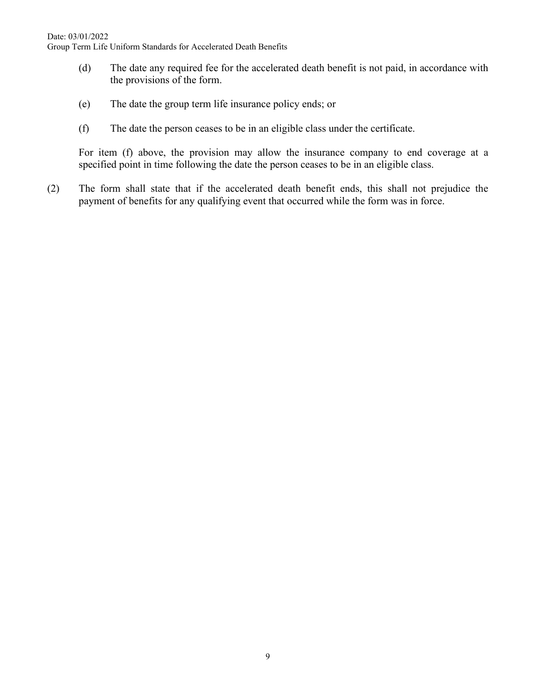Date: 03/01/2022

Group Term Life Uniform Standards for Accelerated Death Benefits

- (d) The date any required fee for the accelerated death benefit is not paid, in accordance with the provisions of the form.
- (e) The date the group term life insurance policy ends; or
- (f) The date the person ceases to be in an eligible class under the certificate.

For item (f) above, the provision may allow the insurance company to end coverage at a specified point in time following the date the person ceases to be in an eligible class.

(2) The form shall state that if the accelerated death benefit ends, this shall not prejudice the payment of benefits for any qualifying event that occurred while the form was in force.